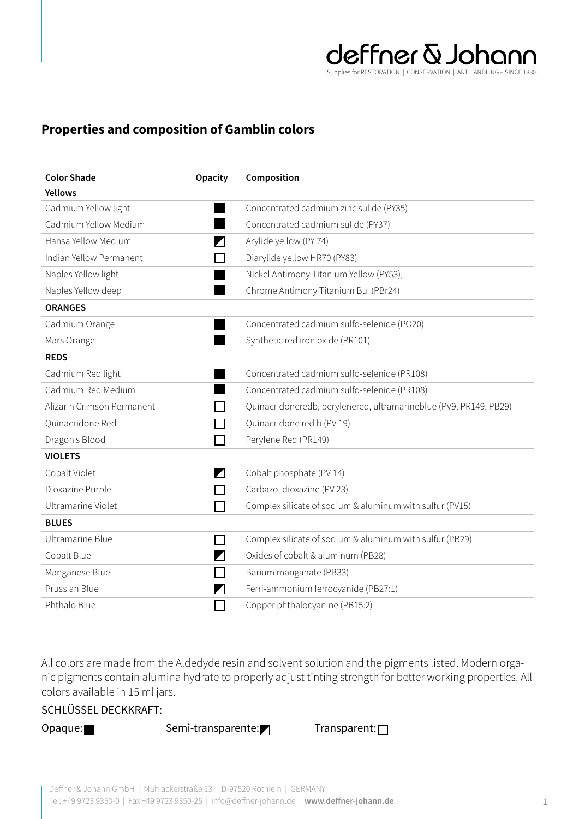

## **Properties and composition of Gamblin colors**

| <b>Color Shade</b>         | <b>Opacity</b>        | Composition                                                       |
|----------------------------|-----------------------|-------------------------------------------------------------------|
| <b>Yellows</b>             |                       |                                                                   |
| Cadmium Yellow light       |                       | Concentrated cadmium zinc sul de (PY35)                           |
| Cadmium Yellow Medium      |                       | Concentrated cadmium sul de (PY37)                                |
| Hansa Yellow Medium        | Ζ                     | Arylide yellow (PY 74)                                            |
| Indian Yellow Permanent    |                       | Diarylide yellow HR70 (PY83)                                      |
| Naples Yellow light        |                       | Nickel Antimony Titanium Yellow (PY53),                           |
| Naples Yellow deep         |                       | Chrome Antimony Titanium Bu (PBr24)                               |
| <b>ORANGES</b>             |                       |                                                                   |
| Cadmium Orange             |                       | Concentrated cadmium sulfo-selenide (PO20)                        |
| Mars Orange                |                       | Synthetic red iron oxide (PR101)                                  |
| <b>REDS</b>                |                       |                                                                   |
| Cadmium Red light          |                       | Concentrated cadmium sulfo-selenide (PR108)                       |
| Cadmium Red Medium         |                       | Concentrated cadmium sulfo-selenide (PR108)                       |
| Alizarin Crimson Permanent |                       | Quinacridoneredb, perylenered, ultramarineblue (PV9, PR149, PB29) |
| Quinacridone Red           |                       | Quinacridone red b (PV 19)                                        |
| Dragon's Blood             | $\mathbf{I}$          | Perylene Red (PR149)                                              |
| <b>VIOLETS</b>             |                       |                                                                   |
| Cobalt Violet              | $\blacktriangleright$ | Cobalt phosphate (PV 14)                                          |
| Dioxazine Purple           | $\Box$                | Carbazol dioxazine (PV 23)                                        |
| Ultramarine Violet         |                       | Complex silicate of sodium & aluminum with sulfur (PV15)          |
| <b>BLUES</b>               |                       |                                                                   |
| Ultramarine Blue           | П                     | Complex silicate of sodium & aluminum with sulfur (PB29)          |
| Cobalt Blue                | $\blacktriangleright$ | Oxides of cobalt & aluminum (PB28)                                |
| Manganese Blue             | $\mathbb{R}^n$        | Barium manganate (PB33)                                           |
| Prussian Blue              |                       | Ferri-ammonium ferrocyanide (PB27:1)                              |
| Phthalo Blue               |                       | Copper phthalocyanine (PB15:2)                                    |

All colors are made from the Aldedyde resin and solvent solution and the pigments listed. Modern organic pigments contain alumina hydrate to properly adjust tinting strength for better working properties. All colors available in 15 ml jars.

## SCHLÜSSEL DECKKRAFT:

Opaque: Semi-transparente: Transparent: